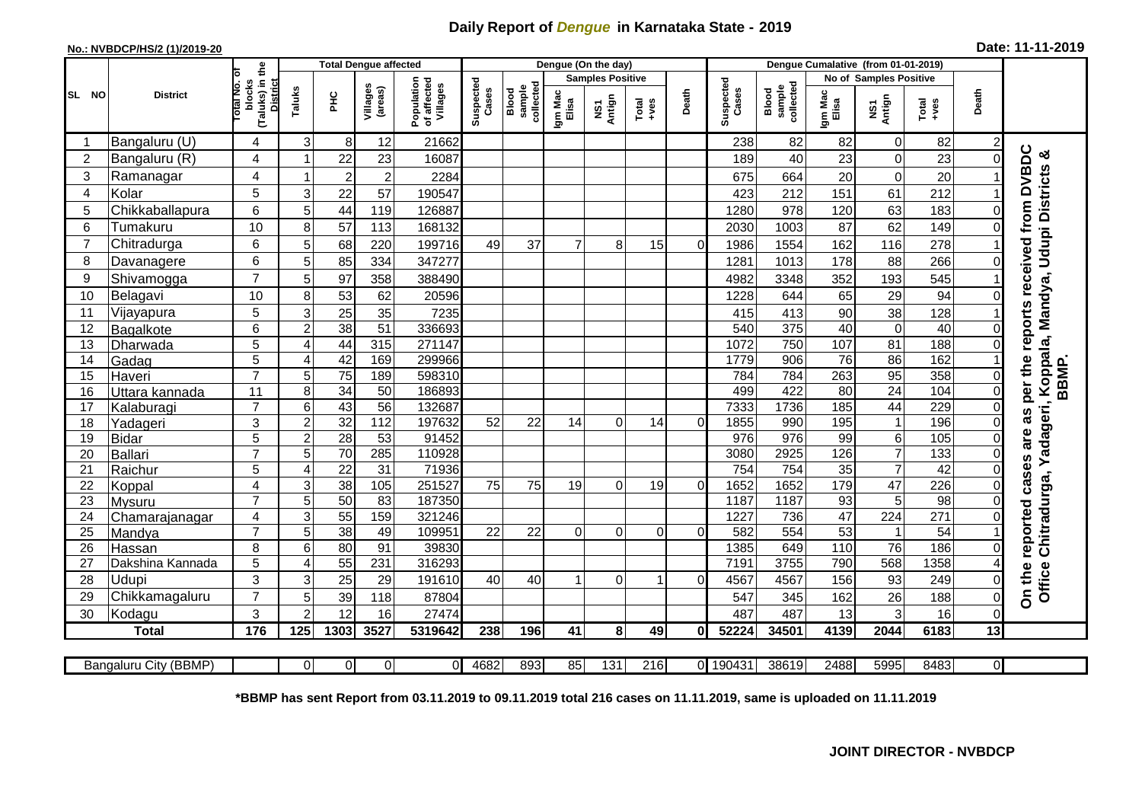## **Daily Report of** *Dengue* **in Karnataka State - 2019**

## **No.: NVBDCP/HS/2 (1)/2019-20 Date: 11-11-2019**

|                         |                            |                                                             |                |                 | <b>Total Dengue affected</b> |                                       |                    |                              | Dengue (On the day) |                         |                                                              |          |                    |                              |                  |                               |                 |          |                                                                                          |
|-------------------------|----------------------------|-------------------------------------------------------------|----------------|-----------------|------------------------------|---------------------------------------|--------------------|------------------------------|---------------------|-------------------------|--------------------------------------------------------------|----------|--------------------|------------------------------|------------------|-------------------------------|-----------------|----------|------------------------------------------------------------------------------------------|
|                         |                            |                                                             |                |                 |                              |                                       |                    |                              |                     | <b>Samples Positive</b> |                                                              |          |                    |                              |                  | <b>No of Samples Positive</b> |                 |          |                                                                                          |
| SL NO                   | <b>District</b>            | (Taluks) in the<br>otal No. or<br>blocks<br><b>District</b> | Taluks         | ÈС              | Villages<br>(areas)          | Population<br>of affected<br>Villages | Suspected<br>Cases | sample<br>collected<br>Blood | Igm Mac<br>Elisa    | NS1<br>Antign           | $\begin{array}{c}\n\text{Total} \\ \text{Area}\n\end{array}$ | Death    | Suspected<br>Cases | collected<br>sample<br>Blood | Igm Mac<br>Elisa | NS1<br>Antign                 | Total<br>+ves   | Death    |                                                                                          |
|                         | Bangaluru (U)              | 4                                                           | 31             | 8               | 12                           | 21662                                 |                    |                              |                     |                         |                                                              |          | 238                | 82                           | 82               | $\mathbf 0$                   | 82              | 2        |                                                                                          |
| $\overline{\mathbf{c}}$ | Bangaluru (R)              | 4                                                           |                | 22              | 23                           | 16087                                 |                    |                              |                     |                         |                                                              |          | 189                | 40                           | 23               | $\mathbf 0$                   | 23              | 0        |                                                                                          |
| 3                       | Ramanagar                  | $\overline{\mathbf{4}}$                                     |                | $\overline{2}$  | $\overline{2}$               | 2284                                  |                    |                              |                     |                         |                                                              |          | 675                | 664                          | 20               | $\mathbf 0$                   | 20              |          | reports received from DVBDC<br>Chitradurga, Yadageri, Koppala, Mandya, Udupi Districts & |
| 4                       | Kolar                      | 5                                                           | $\overline{3}$ | 22              | 57                           | 190547                                |                    |                              |                     |                         |                                                              |          | 423                | 212                          | 151              | 61                            | 212             |          |                                                                                          |
| 5                       | Chikkaballapura            | 6                                                           | 5 <sup>1</sup> | 44              | 119                          | 126887                                |                    |                              |                     |                         |                                                              |          | 1280               | 978                          | 120              | 63                            | 183             | $\Omega$ |                                                                                          |
| 6                       | Tumakuru                   | 10                                                          | 8              | 57              | 113                          | 168132                                |                    |                              |                     |                         |                                                              |          | 2030               | 1003                         | 87               | 62                            | 149             | 0        |                                                                                          |
| $\overline{7}$          | Chitradurga                | 6                                                           | 5              | 68              | 220                          | 199716                                | 49                 | 37                           | $\overline{7}$      | 8                       | 15                                                           | $\Omega$ | 1986               | 1554                         | 162              | 116                           | 278             |          |                                                                                          |
| 8                       | Davanagere                 | 6                                                           | 5              | 85              | 334                          | 347277                                |                    |                              |                     |                         |                                                              |          | 1281               | 1013                         | 178              | 88                            | 266             | 0        |                                                                                          |
| 9                       | Shivamogga                 | $\overline{7}$                                              | 5              | 97              | 358                          | 388490                                |                    |                              |                     |                         |                                                              |          | 4982               | 3348                         | 352              | 193                           | 545             |          |                                                                                          |
| 10                      | Belagavi                   | 10                                                          | 8              | 53              | 62                           | 20596                                 |                    |                              |                     |                         |                                                              |          | 1228               | 644                          | 65               | 29                            | 94              | $\Omega$ |                                                                                          |
| 11                      | Vijayapura                 | 5                                                           | 3 <sup>1</sup> | 25              | 35                           | 7235                                  |                    |                              |                     |                         |                                                              |          | 415                | 413                          | 90               | 38                            | 128             |          |                                                                                          |
| 12                      | Bagalkote                  | 6                                                           | $\overline{2}$ | 38              | 51                           | 336693                                |                    |                              |                     |                         |                                                              |          | 540                | 375                          | 40               | $\overline{0}$                | 40              | $\Omega$ |                                                                                          |
| 13                      | Dharwada                   | 5                                                           | 4              | 44              | 315                          | 271147                                |                    |                              |                     |                         |                                                              |          | 1072               | 750                          | 107              | 81                            | 188             | $\Omega$ |                                                                                          |
| 14                      | Gadag                      | $\overline{5}$                                              | 4              | $\overline{42}$ | 169                          | 299966                                |                    |                              |                     |                         |                                                              |          | 1779               | 906                          | 76               | 86                            | 162             |          |                                                                                          |
| 15                      | Haveri                     | $\overline{7}$                                              | 5 <sup>1</sup> | 75              | 189                          | 598310                                |                    |                              |                     |                         |                                                              |          | 784                | 784                          | 263              | 95                            | 358             | 0        | BBMP.                                                                                    |
| 16                      | Uttara kannada             | 11                                                          | 8              | $\overline{34}$ | $\overline{50}$              | 186893                                |                    |                              |                     |                         |                                                              |          | 499                | 422                          | $\overline{80}$  | $\overline{24}$               | 104             | 0        | per the                                                                                  |
| 17                      | Kalaburagi                 | $\overline{7}$                                              | 6              | 43              | $\overline{56}$              | 132687                                |                    |                              |                     |                         |                                                              |          | 7333               | 1736                         | $\frac{1}{185}$  | 44                            | 229             | $\Omega$ |                                                                                          |
| 18                      | Yadageri                   | 3                                                           | $\overline{2}$ | 32              | 112                          | 197632                                | 52                 | 22                           | 14                  | $\Omega$                | 14                                                           | $\Omega$ | 1855               | 990                          | 195              | $\mathbf{1}$                  | 196             | $\Omega$ | are as                                                                                   |
| 19                      | <b>Bidar</b>               | 5                                                           | $\overline{c}$ | 28              | 53                           | 91452                                 |                    |                              |                     |                         |                                                              |          | 976                | 976                          | 99               | $\,6$                         | 105             | $\Omega$ |                                                                                          |
| 20                      | <b>Ballari</b>             | $\overline{7}$                                              | 5 <sup>1</sup> | 70              | 285                          | 110928                                |                    |                              |                     |                         |                                                              |          | 3080               | 2925                         | 126              | $\overline{7}$                | 133             | $\Omega$ |                                                                                          |
| 21                      | Raichur                    | 5                                                           | 4              | $\overline{22}$ | 31                           | 71936                                 |                    |                              |                     |                         |                                                              |          | 754                | 754                          | $\overline{35}$  | $\overline{7}$                | $\overline{42}$ | 0        | cases                                                                                    |
| 22                      | Koppal                     | $\overline{\mathbf{4}}$                                     | $\overline{3}$ | $\overline{38}$ | 105                          | 251527                                | 75                 | 75                           | 19                  | $\Omega$                | 19                                                           | $\Omega$ | 1652               | 1652                         | 179              | 47                            | 226             | 0        |                                                                                          |
| 23                      | Mysuru                     | $\overline{7}$                                              | 5 <sup>1</sup> | 50              | $\overline{83}$              | 187350                                |                    |                              |                     |                         |                                                              |          | 1187               | 1187                         | 93               | $\overline{5}$                | 98              | $\Omega$ |                                                                                          |
| 24                      | Chamarajanagar             | $\overline{\mathbf{4}}$<br>$\overline{7}$                   | 3 <sup>1</sup> | 55              | 159                          | 321246                                |                    |                              |                     |                         |                                                              |          | 1227               | 736                          | 47<br>53         | 224                           | 271             | $\Omega$ |                                                                                          |
| $\overline{25}$         | Mandya                     |                                                             | $\overline{5}$ | 38              | 49                           | 109951                                | $\overline{22}$    | 22                           | $\Omega$            | $\Omega$                | $\Omega$                                                     | $\Omega$ | 582                | 554                          |                  | $\mathbf 1$                   | 54              |          |                                                                                          |
| 26<br>27                | Hassan<br>Dakshina Kannada | 8<br>5                                                      | 6 <br>4        | 80<br>55        | 91<br>231                    | 39830<br>316293                       |                    |                              |                     |                         |                                                              |          | 1385<br>7191       | 649<br>3755                  | 110<br>790       | 76<br>568                     | 186<br>1358     | 0        |                                                                                          |
| 28                      | Udupi                      | 3                                                           | 3              | 25              | 29                           | 191610                                | 40                 | 40                           |                     | $\Omega$                |                                                              | $\Omega$ | 4567               | 4567                         | 156              | 93                            | 249             | 0        |                                                                                          |
| 29                      |                            | $\overline{7}$                                              | 5              | 39              | 118                          | 87804                                 |                    |                              |                     |                         |                                                              |          | 547                | 345                          | 162              | 26                            | 188             | $\Omega$ | On the reported<br>Office                                                                |
| 30                      | Chikkamagaluru<br>Kodagu   | 3                                                           | $\overline{2}$ | 12              | 16                           | 27474                                 |                    |                              |                     |                         |                                                              |          | 487                | 487                          | 13               | 3                             | 16              | 0        |                                                                                          |
|                         |                            | 176                                                         | 125            | 1303            | 3527                         | 5319642                               | 238                | 196                          | 41                  | 8                       | 49                                                           | 0l       | 52224              | 34501                        | 4139             | 2044                          | 6183            | 13       |                                                                                          |
|                         | <b>Total</b>               |                                                             |                |                 |                              |                                       |                    |                              |                     |                         |                                                              |          |                    |                              |                  |                               |                 |          |                                                                                          |
|                         | Bangaluru City (BBMP)      |                                                             | 0              | $\Omega$        | $\overline{0}$               | $\mathbf{0}$                          | 4682               | 893                          | 85                  | 131                     | 216                                                          |          | 0 190431           | 38619                        | 2488             | 5995                          | 8483            | 0        |                                                                                          |

**\*BBMP has sent Report from 03.11.2019 to 09.11.2019 total 216 cases on 11.11.2019, same is uploaded on 11.11.2019**